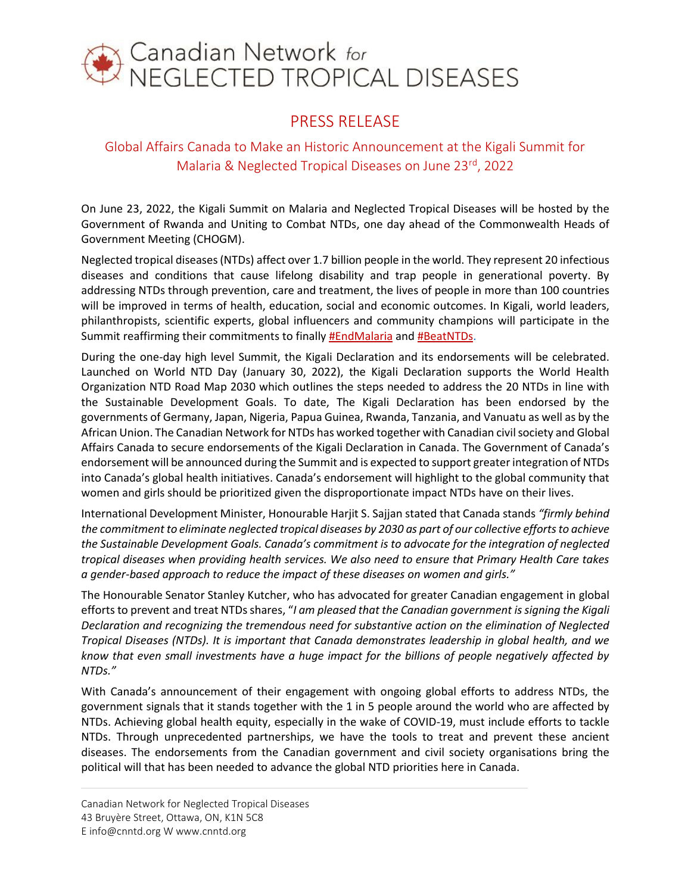

## PRESS RELEASE

## Global Affairs Canada to Make an Historic Announcement at the Kigali Summit for Malaria & Neglected Tropical Diseases on June 23rd, 2022

On June 23, 2022, the Kigali Summit on Malaria and Neglected Tropical Diseases will be hosted by the Government of Rwanda and Uniting to Combat NTDs, one day ahead of the Commonwealth Heads of Government Meeting (CHOGM).

Neglected tropical diseases(NTDs) affect over 1.7 billion people in the world. They represent 20 infectious diseases and conditions that cause lifelong disability and trap people in generational poverty. By addressing NTDs through prevention, care and treatment, the lives of people in more than 100 countries will be improved in terms of health, education, social and economic outcomes. In Kigali, world leaders, philanthropists, scientific experts, global influencers and community champions will participate in the Summit reaffirming their commitments to finally [#EndMalaria](https://twitter.com/search?q=%23EndMalaria&src=hashtag_click) and [#BeatNTDs.](https://twitter.com/hashtag/BeatNTDs?src=hashtag_click)

During the one-day high level Summit, the Kigali Declaration and its endorsements will be celebrated. Launched on World NTD Day (January 30, 2022), the Kigali Declaration supports the World Health Organization NTD Road Map 2030 which outlines the steps needed to address the 20 NTDs in line with the Sustainable Development Goals. To date, The Kigali Declaration has been endorsed by the governments of Germany, Japan, Nigeria, Papua Guinea, Rwanda, Tanzania, and Vanuatu as well as by the African Union. The Canadian Network for NTDs has worked together with Canadian civil society and Global Affairs Canada to secure endorsements of the Kigali Declaration in Canada. The Government of Canada's endorsement will be announced during the Summit and is expected to support greater integration of NTDs into Canada's global health initiatives. Canada's endorsement will highlight to the global community that women and girls should be prioritized given the disproportionate impact NTDs have on their lives.

International Development Minister, Honourable Harjit S. Sajjan stated that Canada stands *"firmly behind the commitment to eliminate neglected tropical diseases by 2030 as part of our collective efforts to achieve the Sustainable Development Goals. Canada's commitment is to advocate for the integration of neglected tropical diseases when providing health services. We also need to ensure that Primary Health Care takes a gender-based approach to reduce the impact of these diseases on women and girls."*

The Honourable Senator Stanley Kutcher, who has advocated for greater Canadian engagement in global efforts to prevent and treat NTDs shares, "*I am pleased that the Canadian government is signing the Kigali Declaration and recognizing the tremendous need for substantive action on the elimination of Neglected Tropical Diseases (NTDs). It is important that Canada demonstrates leadership in global health, and we know that even small investments have a huge impact for the billions of people negatively affected by NTDs."*

With Canada's announcement of their engagement with ongoing global efforts to address NTDs, the government signals that it stands together with the 1 in 5 people around the world who are affected by NTDs. Achieving global health equity, especially in the wake of COVID-19, must include efforts to tackle NTDs. Through unprecedented partnerships, we have the tools to treat and prevent these ancient diseases. The endorsements from the Canadian government and civil society organisations bring the political will that has been needed to advance the global NTD priorities here in Canada.